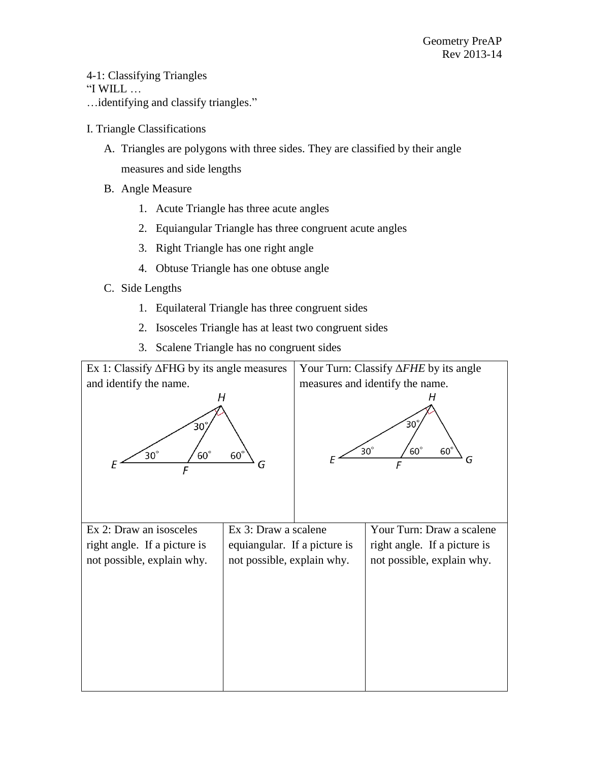4-1: Classifying Triangles "I WILL  $\ldots$ …identifying and classify triangles."

- I. Triangle Classifications
	- A. Triangles are polygons with three sides. They are classified by their angle measures and side lengths
	- B. Angle Measure
		- 1. Acute Triangle has three acute angles
		- 2. Equiangular Triangle has three congruent acute angles
		- 3. Right Triangle has one right angle
		- 4. Obtuse Triangle has one obtuse angle
	- C. Side Lengths
		- 1. Equilateral Triangle has three congruent sides
		- 2. Isosceles Triangle has at least two congruent sides
		- 3. Scalene Triangle has no congruent sides